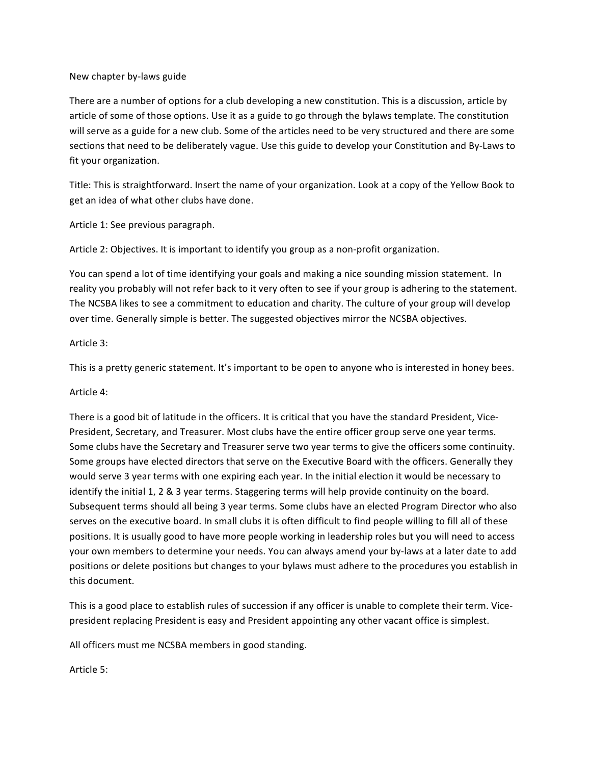### New chapter by-laws guide

There are a number of options for a club developing a new constitution. This is a discussion, article by article of some of those options. Use it as a guide to go through the bylaws template. The constitution will serve as a guide for a new club. Some of the articles need to be very structured and there are some sections that need to be deliberately vague. Use this guide to develop your Constitution and By-Laws to fit your organization.

Title: This is straightforward. Insert the name of your organization. Look at a copy of the Yellow Book to get an idea of what other clubs have done.

Article 1: See previous paragraph.

Article 2: Objectives. It is important to identify you group as a non-profit organization.

You can spend a lot of time identifying your goals and making a nice sounding mission statement. In reality you probably will not refer back to it very often to see if your group is adhering to the statement. The NCSBA likes to see a commitment to education and charity. The culture of your group will develop over time. Generally simple is better. The suggested objectives mirror the NCSBA objectives.

# Article 3:

This is a pretty generic statement. It's important to be open to anyone who is interested in honey bees.

# Article 4:

There is a good bit of latitude in the officers. It is critical that you have the standard President, Vice-President, Secretary, and Treasurer. Most clubs have the entire officer group serve one year terms. Some clubs have the Secretary and Treasurer serve two year terms to give the officers some continuity. Some groups have elected directors that serve on the Executive Board with the officers. Generally they would serve 3 year terms with one expiring each year. In the initial election it would be necessary to identify the initial 1, 2  $\&$  3 year terms. Staggering terms will help provide continuity on the board. Subsequent terms should all being 3 year terms. Some clubs have an elected Program Director who also serves on the executive board. In small clubs it is often difficult to find people willing to fill all of these positions. It is usually good to have more people working in leadership roles but you will need to access your own members to determine your needs. You can always amend your by-laws at a later date to add positions or delete positions but changes to your bylaws must adhere to the procedures you establish in this document.

This is a good place to establish rules of succession if any officer is unable to complete their term. Vicepresident replacing President is easy and President appointing any other vacant office is simplest.

All officers must me NCSBA members in good standing.

Article 5: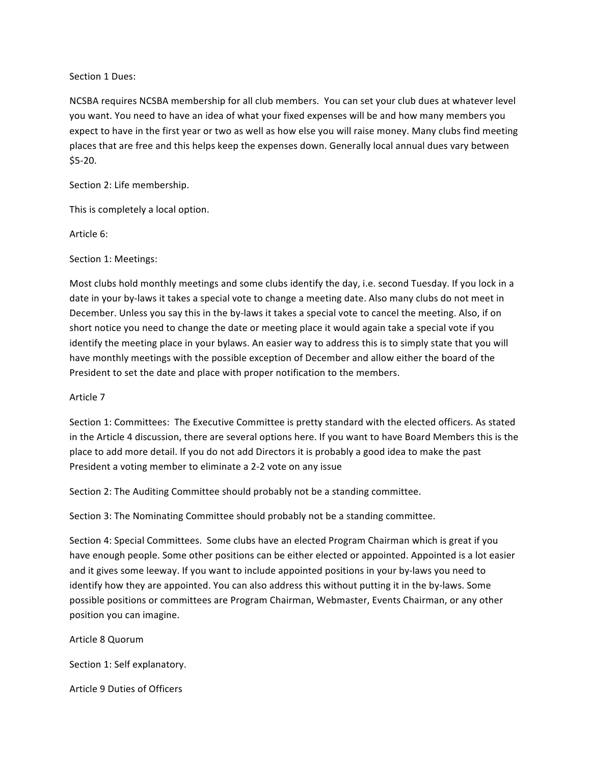#### Section 1 Dues:

NCSBA requires NCSBA membership for all club members. You can set your club dues at whatever level you want. You need to have an idea of what your fixed expenses will be and how many members you expect to have in the first year or two as well as how else you will raise money. Many clubs find meeting places that are free and this helps keep the expenses down. Generally local annual dues vary between \$5-20.

Section 2: Life membership.

This is completely a local option.

Article 6:

Section 1: Meetings:

Most clubs hold monthly meetings and some clubs identify the day, i.e. second Tuesday. If you lock in a date in your by-laws it takes a special vote to change a meeting date. Also many clubs do not meet in December. Unless you say this in the by-laws it takes a special vote to cancel the meeting. Also, if on short notice you need to change the date or meeting place it would again take a special vote if you identify the meeting place in your bylaws. An easier way to address this is to simply state that you will have monthly meetings with the possible exception of December and allow either the board of the President to set the date and place with proper notification to the members.

#### Article 7

Section 1: Committees: The Executive Committee is pretty standard with the elected officers. As stated in the Article 4 discussion, there are several options here. If you want to have Board Members this is the place to add more detail. If you do not add Directors it is probably a good idea to make the past President a voting member to eliminate a 2-2 vote on any issue

Section 2: The Auditing Committee should probably not be a standing committee.

Section 3: The Nominating Committee should probably not be a standing committee.

Section 4: Special Committees. Some clubs have an elected Program Chairman which is great if you have enough people. Some other positions can be either elected or appointed. Appointed is a lot easier and it gives some leeway. If you want to include appointed positions in your by-laws you need to identify how they are appointed. You can also address this without putting it in the by-laws. Some possible positions or committees are Program Chairman, Webmaster, Events Chairman, or any other position you can imagine.

Article 8 Quorum

Section 1: Self explanatory.

Article 9 Duties of Officers